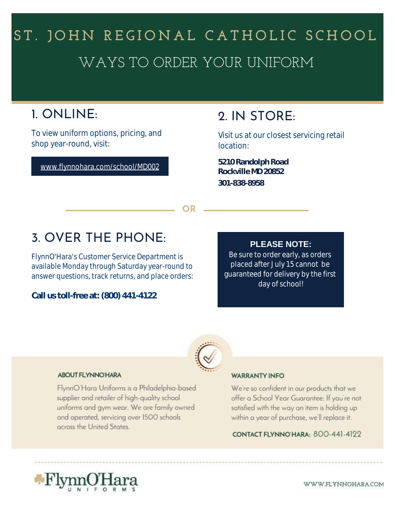# WAYS TO ORDER YOUR UNIFORM ST. JOHN REGIONAL CATHOLIC SCHOOL

## 1. ONLINE:

To view uniform options, pricing, and shop year-round, visit:

www.flynnohara.com/school/MD002

### 2. IN STORE:

Visit us at our closest servicing retail location:

**Rockville MD 20852 301-838-8958 5210 Randolph Road**

**OR**

## 3. OVER THE PHONE:

FlynnO'Hara's Customer Service Department is available Monday through Saturday year-round to answer questions, track returns, and place orders:

**Call us toll-free at: (800) 441-4122**

#### **PLEASE NOTE:**

Be sure to order early, as orders placed after July 15 cannot be guaranteed for delivery by the first day of school!



#### **ABOUT FLYNNO HARA**

FlynnO'Hara Uniforms is a Philadelphia-based supplier and retailer of high-quality school uniforms and gym wear. We are family owned and operated, servicing over 1500 schools across the United States.

#### **WARRANTY INFO**

We're so confident in our products that we offer a School Year Guarantee: If you're not satisfied with the way an item is holding up within a year of purchase, we'll replace it.

CONTACT FLYNNO HARA: 800-441-4122



WWW.FLYNNOHARA.COM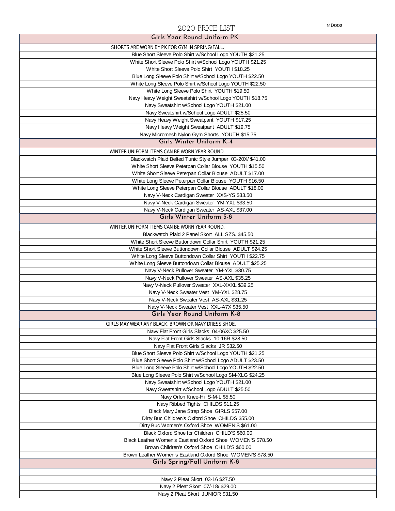### MD002 2020 PRICE LIST

| Girls Year Round Unitorm PK                                              |
|--------------------------------------------------------------------------|
| SHORTS ARE WORN BY PK FOR GYM IN SPRING/FALL.                            |
| Blue Short Sleeve Polo Shirt w/School Logo YOUTH \$21.25                 |
| White Short Sleeve Polo Shirt w/School Logo YOUTH \$21.25                |
| White Short Sleeve Polo Shirt YOUTH \$18.25                              |
| Blue Long Sleeve Polo Shirt w/School Logo YOUTH \$22.50                  |
| White Long Sleeve Polo Shirt w/School Logo YOUTH \$22.50                 |
| White Long Sleeve Polo Shirt YOUTH \$19.50                               |
| Navy Heavy Weight Sweatshirt w/School Logo YOUTH \$18.75                 |
| Navy Sweatshirt w/School Logo YOUTH \$21.00                              |
| Navy Sweatshirt w/School Logo ADULT \$25.50                              |
| Navy Heavy Weight Sweatpant YOUTH \$17.25                                |
| Navy Heavy Weight Sweatpant ADULT \$19.75                                |
| Navy Micromesh Nylon Gym Shorts YOUTH \$15.75                            |
| Girls Winter Uniform K-4                                                 |
| WINTER UNIFORM ITEMS CAN BE WORN YEAR ROUND.                             |
| Blackwatch Plaid Belted Tunic Style Jumper 03-20X/ \$41.00               |
| White Short Sleeve Peterpan Collar Blouse YOUTH \$15.50                  |
| White Short Sleeve Peterpan Collar Blouse ADULT \$17.00                  |
| White Long Sleeve Peterpan Collar Blouse YOUTH \$16.50                   |
| White Long Sleeve Peterpan Collar Blouse ADULT \$18.00                   |
| Navy V-Neck Cardigan Sweater XXS-YS \$33.50                              |
| Navy V-Neck Cardigan Sweater YM-YXL \$33.50                              |
| Navy V-Neck Cardigan Sweater AS-AXL \$37.00                              |
| Girls Winter Uniform 5-8                                                 |
|                                                                          |
| WINTER UNIFORM ITEMS CAN BE WORN YEAR ROUND.                             |
| Blackwatch Plaid 2 Panel Skort ALL SZS. \$45.50                          |
| White Short Sleeve Buttondown Collar Shirt YOUTH \$21.25                 |
| White Short Sleeve Buttondown Collar Blouse ADULT \$24.25                |
| White Long Sleeve Buttondown Collar Shirt YOUTH \$22.75                  |
| White Long Sleeve Buttondown Collar Blouse ADULT \$25.25                 |
| Navy V-Neck Pullover Sweater YM-YXL \$30.75                              |
| Navy V-Neck Pullover Sweater AS-AXL \$35.25                              |
| Navy V-Neck Pullover Sweater XXL-XXXL \$39.25                            |
| Navy V-Neck Sweater Vest YM-YXL \$28.75                                  |
| Navy V-Neck Sweater Vest AS-AXL \$31.25                                  |
| Navy V-Neck Sweater Vest XXL-A7X \$35.50<br>Girls Year Round Uniform K-8 |
|                                                                          |
| GIRLS MAY WEAR ANY BLACK, BROWN OR NAVY DRESS SHOE                       |
| Navy Flat Front Girls Slacks 04-06XC \$25.50                             |
| Navy Flat Front Girls Slacks 10-16R \$28.50                              |
| Navy Flat Front Girls Slacks JR \$32.50                                  |
| Blue Short Sleeve Polo Shirt w/School Logo YOUTH \$21.25                 |
| Blue Short Sleeve Polo Shirt w/School Logo ADULT \$23.50                 |
| Blue Long Sleeve Polo Shirt w/School Logo YOUTH \$22.50                  |
| Blue Long Sleeve Polo Shirt w/School Logo SM-XLG \$24.25                 |
| Navy Sweatshirt w/School Logo YOUTH \$21.00                              |
| Navy Sweatshirt w/School Logo ADULT \$25.50                              |
| Navy Orlon Knee-Hi S-M-L \$5.50                                          |
| Navy Ribbed Tights CHILDS \$11.25                                        |
| Black Mary Jane Strap Shoe GIRLS \$57.00                                 |
| Dirty Buc Children's Oxford Shoe CHILDS \$55.00                          |
| Dirty Buc Women's Oxford Shoe WOMEN'S \$61.00                            |
| Black Oxford Shoe for Children CHILD'S \$60.00                           |
| Black Leather Women's Eastland Oxford Shoe WOMEN'S \$78.50               |
| Brown Children's Oxford Shoe CHILD'S \$60.00                             |
| Brown Leather Women's Eastland Oxford Shoe WOMEN'S \$78.50               |
| Girls Spring/Fall Uniform K-8                                            |
|                                                                          |
| Navy 2 Pleat Skort 03-16 \$27.50                                         |
| Navy 2 Pleat Skort 07/-18/ \$29.00                                       |
| Navy 2 Pleat Skort JUNIOR \$31.50                                        |
|                                                                          |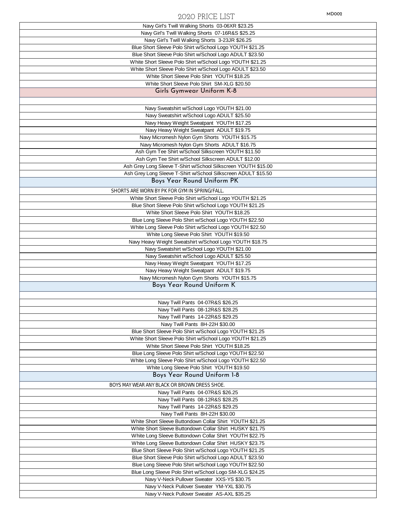#### MD002 2020 PRICE LIST

| Navy Girl's Twill Walking Shorts 03-06XR \$23.25                                           |
|--------------------------------------------------------------------------------------------|
| Navy Girl's Twill Walking Shorts 07-16R&S \$25.25                                          |
| Navy Girl's Twill Walking Shorts 3-23JR \$26.25                                            |
| Blue Short Sleeve Polo Shirt w/School Logo YOUTH \$21.25                                   |
| Blue Short Sleeve Polo Shirt w/School Logo ADULT \$23.50                                   |
| White Short Sleeve Polo Shirt w/School Logo YOUTH \$21.25                                  |
| White Short Sleeve Polo Shirt w/School Logo ADULT \$23.50                                  |
| White Short Sleeve Polo Shirt YOUTH \$18.25                                                |
| White Short Sleeve Polo Shirt SM-XLG \$20.50                                               |
| Girls Gymwear Uniform K-8                                                                  |
|                                                                                            |
|                                                                                            |
| Navy Sweatshirt w/School Logo YOUTH \$21.00                                                |
| Navy Sweatshirt w/School Logo ADULT \$25.50                                                |
| Navy Heavy Weight Sweatpant YOUTH \$17.25                                                  |
| Navy Heavy Weight Sweatpant ADULT \$19.75                                                  |
| Navy Micromesh Nylon Gym Shorts YOUTH \$15.75                                              |
| Navy Micromesh Nylon Gym Shorts ADULT \$16.75                                              |
| Ash Gym Tee Shirt w/School Silkscreen YOUTH \$11.50                                        |
| Ash Gym Tee Shirt w/School Silkscreen ADULT \$12.00                                        |
| Ash Grey Long Sleeve T-Shirt w/School Silkscreen YOUTH \$15.00                             |
| Ash Grey Long Sleeve T-Shirt w/School Silkscreen ADULT \$15.50                             |
| Boys Year Round Uniform PK                                                                 |
| SHORTS ARE WORN BY PK FOR GYM IN SPRING/FALL.                                              |
| White Short Sleeve Polo Shirt w/School Logo YOUTH \$21.25                                  |
| Blue Short Sleeve Polo Shirt w/School Logo YOUTH \$21.25                                   |
| White Short Sleeve Polo Shirt YOUTH \$18.25                                                |
| Blue Long Sleeve Polo Shirt w/School Logo YOUTH \$22.50                                    |
| White Long Sleeve Polo Shirt w/School Logo YOUTH \$22.50                                   |
| White Long Sleeve Polo Shirt YOUTH \$19.50                                                 |
| Navy Heavy Weight Sweatshirt w/School Logo YOUTH \$18.75                                   |
| Navy Sweatshirt w/School Logo YOUTH \$21.00                                                |
| Navy Sweatshirt w/School Logo ADULT \$25.50                                                |
| Navy Heavy Weight Sweatpant YOUTH \$17.25                                                  |
| Navy Heavy Weight Sweatpant ADULT \$19.75                                                  |
| Navy Micromesh Nylon Gym Shorts YOUTH \$15.75                                              |
| Boys Year Round Uniform K                                                                  |
|                                                                                            |
|                                                                                            |
| Navy Twill Pants 04-07R&S \$26.25                                                          |
| Navy Twill Pants 08-12R&S \$28.25                                                          |
| Navy Twill Pants 14-22R&S \$29.25                                                          |
| Navy Twill Pants 8H-22H \$30.00                                                            |
| Blue Short Sleeve Polo Shirt w/School Logo YOUTH \$21.25                                   |
| White Short Sleeve Polo Shirt w/School Logo YOUTH \$21.25                                  |
| White Short Sleeve Polo Shirt YOUTH \$18.25                                                |
| Blue Long Sleeve Polo Shirt w/School Logo YOUTH \$22.50                                    |
| White Long Sleeve Polo Shirt w/School Logo YOUTH \$22.50                                   |
| White Long Sleeve Polo Shirt YOUTH \$19.50                                                 |
| Boys Year Round Uniform 1-8                                                                |
| BOYS MAY WEAR ANY BLACK OR BROWN DRESS SHOE.                                               |
| Navy Twill Pants 04-07R&S \$26.25                                                          |
| Navy Twill Pants 08-12R&S \$28.25                                                          |
| Navy Twill Pants 14-22R&S \$29.25                                                          |
| Navy Twill Pants 8H-22H \$30.00                                                            |
| White Short Sleeve Buttondown Collar Shirt YOUTH \$21.25                                   |
| White Short Sleeve Buttondown Collar Shirt HUSKY \$21.75                                   |
| White Long Sleeve Buttondown Collar Shirt YOUTH \$22.75                                    |
| White Long Sleeve Buttondown Collar Shirt HUSKY \$23.75                                    |
| Blue Short Sleeve Polo Shirt w/School Logo YOUTH \$21.25                                   |
| Blue Short Sleeve Polo Shirt w/School Logo ADULT \$23.50                                   |
| Blue Long Sleeve Polo Shirt w/School Logo YOUTH \$22.50                                    |
| Blue Long Sleeve Polo Shirt w/School Logo SM-XLG \$24.25                                   |
|                                                                                            |
|                                                                                            |
| Navy V-Neck Pullover Sweater XXS-YS \$30.75                                                |
| Navy V-Neck Pullover Sweater YM-YXL \$30.75<br>Navy V-Neck Pullover Sweater AS-AXL \$35.25 |